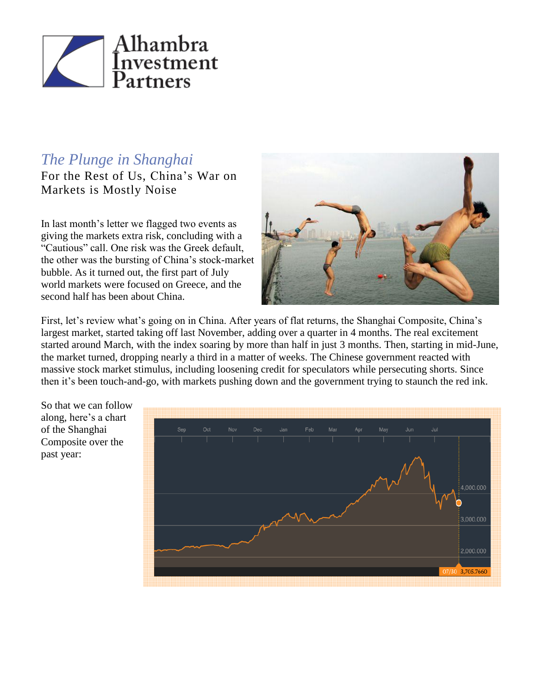

## *The Plunge in Shanghai*

For the Rest of Us, China's War on Markets is Mostly Noise

In last month's letter we flagged two events as giving the markets extra risk, concluding with a "Cautious" call. One risk was the Greek default, the other was the bursting of China's stock-market bubble. As it turned out, the first part of July world markets were focused on Greece, and the second half has been about China.



First, let's review what's going on in China. After years of flat returns, the Shanghai Composite, China's largest market, started taking off last November, adding over a quarter in 4 months. The real excitement started around March, with the index soaring by more than half in just 3 months. Then, starting in mid-June, the market turned, dropping nearly a third in a matter of weeks. The Chinese government reacted with massive stock market stimulus, including loosening credit for speculators while persecuting shorts. Since then it's been touch-and-go, with markets pushing down and the government trying to staunch the red ink.



So that we can follow along, here's a chart of the Shanghai Composite over the past year: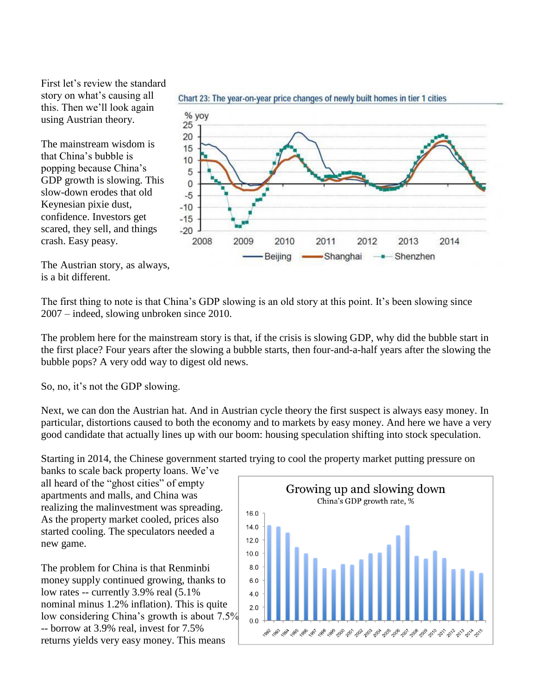First let's review the standard story on what's causing all this. Then we'll look again using Austrian theory.

The mainstream wisdom is that China's bubble is popping because China's GDP growth is slowing. This slow-down erodes that old Keynesian pixie dust, confidence. Investors get scared, they sell, and things crash. Easy peasy.



The Austrian story, as always, is a bit different.

The first thing to note is that China's GDP slowing is an old story at this point. It's been slowing since 2007 – indeed, slowing unbroken since 2010.

The problem here for the mainstream story is that, if the crisis is slowing GDP, why did the bubble start in the first place? Four years after the slowing a bubble starts, then four-and-a-half years after the slowing the bubble pops? A very odd way to digest old news.

So, no, it's not the GDP slowing.

Next, we can don the Austrian hat. And in Austrian cycle theory the first suspect is always easy money. In particular, distortions caused to both the economy and to markets by easy money. And here we have a very good candidate that actually lines up with our boom: housing speculation shifting into stock speculation.

Starting in 2014, the Chinese government started trying to cool the property market putting pressure on

banks to scale back property loans. We've all heard of the "ghost cities" of empty apartments and malls, and China was realizing the malinvestment was spreading. As the property market cooled, prices also started cooling. The speculators needed a new game.

The problem for China is that Renminbi money supply continued growing, thanks to low rates -- currently 3.9% real (5.1% nominal minus 1.2% inflation). This is quite low considering China's growth is about 7.5% -- borrow at 3.9% real, invest for 7.5% returns yields very easy money. This means

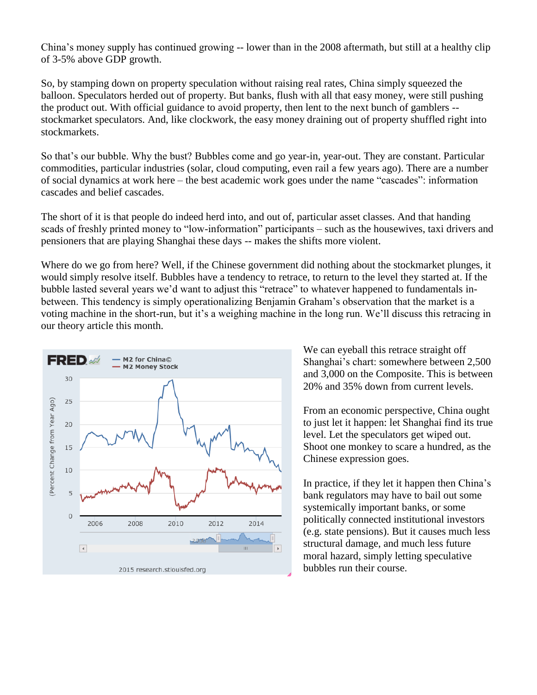China's money supply has continued growing -- lower than in the 2008 aftermath, but still at a healthy clip of 3-5% above GDP growth.

So, by stamping down on property speculation without raising real rates, China simply squeezed the balloon. Speculators herded out of property. But banks, flush with all that easy money, were still pushing the product out. With official guidance to avoid property, then lent to the next bunch of gamblers - stockmarket speculators. And, like clockwork, the easy money draining out of property shuffled right into stockmarkets.

So that's our bubble. Why the bust? Bubbles come and go year-in, year-out. They are constant. Particular commodities, particular industries (solar, cloud computing, even rail a few years ago). There are a number of social dynamics at work here – the best academic work goes under the name "cascades": information cascades and belief cascades.

The short of it is that people do indeed herd into, and out of, particular asset classes. And that handing scads of freshly printed money to "low-information" participants – such as the housewives, taxi drivers and pensioners that are playing Shanghai these days -- makes the shifts more violent.

Where do we go from here? Well, if the Chinese government did nothing about the stockmarket plunges, it would simply resolve itself. Bubbles have a tendency to retrace, to return to the level they started at. If the bubble lasted several years we'd want to adjust this "retrace" to whatever happened to fundamentals inbetween. This tendency is simply operationalizing Benjamin Graham's observation that the market is a voting machine in the short-run, but it's a weighing machine in the long run. We'll discuss this retracing in our theory article this month.



We can eyeball this retrace straight off Shanghai's chart: somewhere between 2,500 and 3,000 on the Composite. This is between 20% and 35% down from current levels.

From an economic perspective, China ought to just let it happen: let Shanghai find its true level. Let the speculators get wiped out. Shoot one monkey to scare a hundred, as the Chinese expression goes.

In practice, if they let it happen then China's bank regulators may have to bail out some systemically important banks, or some politically connected institutional investors (e.g. state pensions). But it causes much less structural damage, and much less future moral hazard, simply letting speculative bubbles run their course.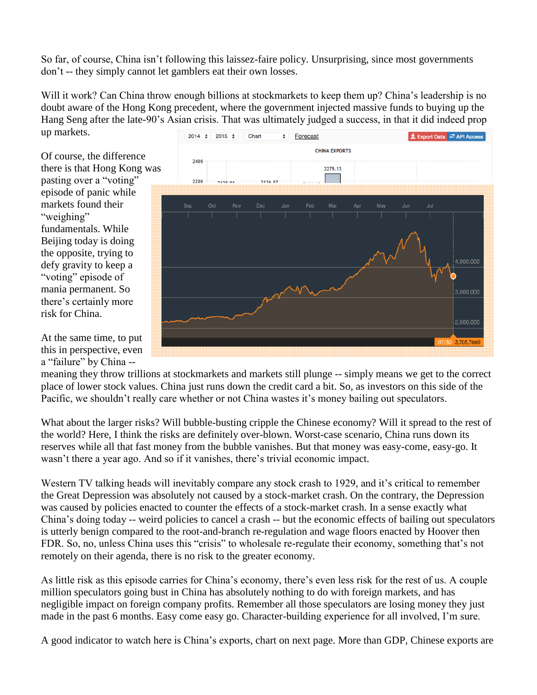So far, of course, China isn't following this laissez-faire policy. Unsurprising, since most governments don't -- they simply cannot let gamblers eat their own losses.

Will it work? Can China throw enough billions at stockmarkets to keep them up? China's leadership is no doubt aware of the Hong Kong precedent, where the government injected massive funds to buying up the Hang Seng after the late-90's Asian crisis. That was ultimately judged a success, in that it did indeed prop up markets.

Of course, the difference there is that Hong Kong was pasting over a "voting" episode of panic while markets found their "weighing" fundamentals. While Beijing today is doing the opposite, trying to defy gravity to keep a "voting" episode of mania permanent. So there's certainly more risk for China.

At the same time, to put this in perspective, even a "failure" by China --



meaning they throw trillions at stockmarkets and markets still plunge -- simply means we get to the correct place of lower stock values. China just runs down the credit card a bit. So, as investors on this side of the Pacific, we shouldn't really care whether or not China wastes it's money bailing out speculators.

What about the larger risks? Will bubble-busting cripple the Chinese economy? Will it spread to the rest of the world? Here, I think the risks are definitely over-blown. Worst-case scenario, China runs down its reserves while all that fast money from the bubble vanishes. But that money was easy-come, easy-go. It wasn't there a year ago. And so if it vanishes, there's trivial economic impact.

Western TV talking heads will inevitably compare any stock crash to 1929, and it's critical to remember the Great Depression was absolutely not caused by a stock-market crash. On the contrary, the Depression was caused by policies enacted to counter the effects of a stock-market crash. In a sense exactly what China's doing today -- weird policies to cancel a crash -- but the economic effects of bailing out speculators is utterly benign compared to the root-and-branch re-regulation and wage floors enacted by Hoover then FDR. So, no, unless China uses this "crisis" to wholesale re-regulate their economy, something that's not remotely on their agenda, there is no risk to the greater economy.

As little risk as this episode carries for China's economy, there's even less risk for the rest of us. A couple million speculators going bust in China has absolutely nothing to do with foreign markets, and has negligible impact on foreign company profits. Remember all those speculators are losing money they just made in the past 6 months. Easy come easy go. Character-building experience for all involved, I'm sure.

A good indicator to watch here is China's exports, chart on next page. More than GDP, Chinese exports are